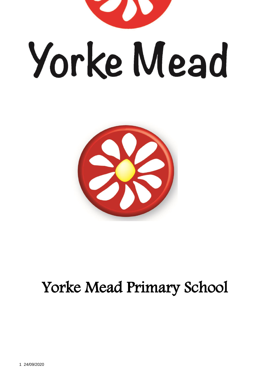



# Yorke Mead Primary School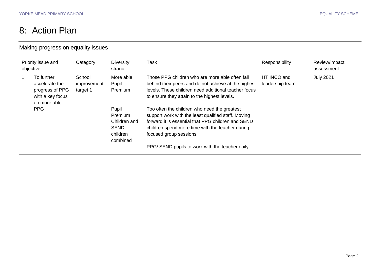## 8: Action Plan

### Making progress on equality issues

| Priority issue and<br>objective |                                                                                     | Category                          | <b>Diversity</b><br>strand                                              | <b>Task</b>                                                                                                                                                                                                                              | Responsibility                 | Review/impact<br>assessment |
|---------------------------------|-------------------------------------------------------------------------------------|-----------------------------------|-------------------------------------------------------------------------|------------------------------------------------------------------------------------------------------------------------------------------------------------------------------------------------------------------------------------------|--------------------------------|-----------------------------|
|                                 | To further<br>accelerate the<br>progress of PPG<br>with a key focus<br>on more able | School<br>improvement<br>target 1 | More able<br>Pupil<br>Premium                                           | Those PPG children who are more able often fall<br>behind their peers and do not achieve at the highest<br>levels. These children need additional teacher focus<br>to ensure they attain to the highest levels.                          | HT INCO and<br>leadership team | <b>July 2021</b>            |
|                                 | <b>PPG</b>                                                                          |                                   | Pupil<br>Premium<br>Children and<br><b>SEND</b><br>children<br>combined | Too often the children who need the greatest<br>support work with the least qualified staff. Moving<br>forward it is essential that PPG children and SEND<br>children spend more time with the teacher during<br>focused group sessions. |                                |                             |
|                                 |                                                                                     |                                   |                                                                         | PPG/SEND pupils to work with the teacher daily.                                                                                                                                                                                          |                                |                             |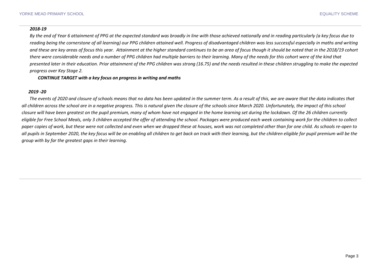#### *2018-19*

By the end of Year 6 attainment of PPG at the expected standard was broadly in line with those achieved nationally and in reading particularly (a key focus due to *reading being the cornerstone of all learning) our PPG children attained well. Progress of disadvantaged children was less successful especially in maths and writing and these are key areas of focus this year. Attainment at the higher standard continues to be an area of focus though it should be noted that in the 2018/19 cohort there were considerable needs and a number of PPG children had multiple barriers to their learning. Many of the needs for this cohort were of the kind that presented later in their education. Prior attainment of the PPG children was strong (16.75) and the needs resulted in these children struggling to make the expected progress over Key Stage 2.* 

*CONTINUE TARGET with a key focus on progress in writing and maths* 

#### *2019 -20*

 *The events of 2020 and closure of schools means that no data has been updated in the summer term. As a result of this, we are aware that the data indicates that all children across the school are in a negative progress. This is natural given the closure of the schools since March 2020. Unfortunately, the impact of this school closure will have been greatest on the pupil premium, many of whom have not engaged in the home learning set during the lockdown. Of the 26 children currently eligible for Free School Meals, only 3 children accepted the offer of attending the school. Packages were produced each week containing work for the children to collect paper copies of work, but these were not collected and even when we dropped these at houses, work was not completed other than for one child. As schools re-open to all pupils in September 2020, the key focus will be on enabling all children to get back on track with their learning, but the children eligible for pupil premium will be the group with by far the greatest gaps in their learning.*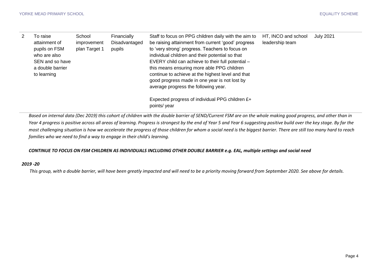| 2 | To raise<br>attainment of<br>pupils on FSM<br>who are also<br>SEN and so have<br>a double barrier<br>to learning | School<br>improvement<br>plan Target 1 | Financially<br>Disadvantaged<br>pupils | Staff to focus on PPG children daily with the aim to<br>be raising attainment from current 'good' progress<br>to 'very strong' progress. Teachers to focus on<br>individual children and their potential so that<br>EVERY child can achieve to their full potential -<br>this means ensuring more able PPG children<br>continue to achieve at the highest level and that<br>good progress made in one year is not lost by<br>average progress the following year. | HT, INCO and school<br>leadership team | <b>July 2021</b> |
|---|------------------------------------------------------------------------------------------------------------------|----------------------------------------|----------------------------------------|-------------------------------------------------------------------------------------------------------------------------------------------------------------------------------------------------------------------------------------------------------------------------------------------------------------------------------------------------------------------------------------------------------------------------------------------------------------------|----------------------------------------|------------------|
|   |                                                                                                                  |                                        |                                        | Expected progress of individual PPG children £+<br>points/year                                                                                                                                                                                                                                                                                                                                                                                                    |                                        |                  |

*Based on internal data (Dec 2019) this cohort of children with the double barrier of SEND/Current FSM are on the whole making good progress, and other than in Year 4 progress is positive across all areas of learning. Progress is strongest by the end of Year 5 and Year 6 suggesting positive build over the key stage. By far the most challenging situation is how we accelerate the progress of those children for whom a social need is the biggest barrier. There are still too many hard to reach families who we need to find a way to engage in their child's learning.* 

#### *CONTINUE TO FOCUS ON FSM CHILDREN AS INDIVIDUALS INCLUDING OTHER DOUBLE BARRIER e.g. EAL, multiple settings and social need*

#### *2019 -20*

 *This group, with a double barrier, will have been greatly impacted and will need to be a priority moving forward from September 2020. See above for details.*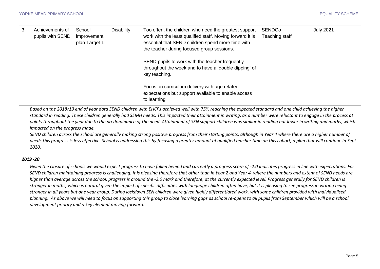| 3 | Achievements of<br>pupils with SEND | School<br>improvement<br>plan Target 1 | Disability | Too often, the children who need the greatest support<br>work with the least qualified staff. Moving forward it is<br>essential that SEND children spend more time with<br>the teacher during focused group sessions. | <b>SENDCo</b><br>Teaching staff | <b>July 2021</b> |
|---|-------------------------------------|----------------------------------------|------------|-----------------------------------------------------------------------------------------------------------------------------------------------------------------------------------------------------------------------|---------------------------------|------------------|
|   |                                     |                                        |            | SEND pupils to work with the teacher frequently<br>throughout the week and to have a 'double dipping' of<br>key teaching.                                                                                             |                                 |                  |
|   |                                     |                                        |            | Focus on curriculum delivery with age related<br>expectations but support available to enable access<br>to learning                                                                                                   |                                 |                  |

*Based on the 2018/19 end of year data SEND children with EHCPs achieved well with 75% reaching the expected standard and one child achieving the higher standard in reading. These children generally had SEMH needs. This impacted their attainment in writing, as a number were reluctant to engage in the process at points throughout the year due to the predominance of the need. Attainment of SEN support children was similar in reading but lower in writing and maths, which impacted on the progress made.* 

*SEND children across the school are generally making strong positive progress from their starting points, although in Year 4 where there are a higher number of needs this progress is less effective. School is addressing this by focusing a greater amount of qualified teacher time on this cohort, a plan that will continue in Sept 2020.* 

#### *2019 -20*

*Given the closure of schools we would expect progress to have fallen behind and currently a progress score of -2.0 indicates progress in line with expectations. For SEND children maintaining progress is challenging. It is pleasing therefore that other than in Year 2 and Year 4, where the numbers and extent of SEND needs are higher than average across the school, progress is around the -2.0 mark and therefore, at the currently expected level. Progress generally for SEND children is stronger in maths, which is natural given the impact of specific difficulties with language children often have, but it is pleasing to see progress in writing being stronger in all years but one year group. During lockdown SEN children were given highly differentiated work, with some children provided with individualised planning. As above we will need to focus on supporting this group to close learning gaps as school re-opens to all pupils from September which will be a school development priority and a key element moving forward.*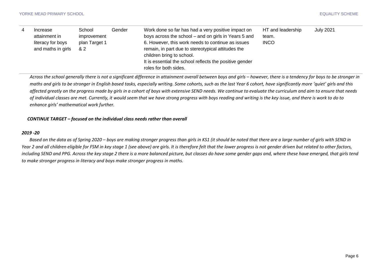| 4 | Increase                                | School               | Gender | Work done so far has had a very positive impact on                                                                                                                                                                       | HT and leadership | <b>July 2021</b> |
|---|-----------------------------------------|----------------------|--------|--------------------------------------------------------------------------------------------------------------------------------------------------------------------------------------------------------------------------|-------------------|------------------|
|   | attainment in                           | improvement          |        | boys across the school – and on girls in Years 5 and                                                                                                                                                                     | team.             |                  |
|   | literacy for boys<br>and maths in girls | plan Target 1<br>& 2 |        | 6. However, this work needs to continue as issues<br>remain, in part due to stereotypical attitudes the<br>children bring to school.<br>It is essential the school reflects the positive gender<br>roles for both sides. | <b>INCO</b>       |                  |

Across the school generally there is not a significant difference in attainment overall between boys and girls – however, there is a tendency for boys to be stronger in *maths and girls to be stronger in English based tasks, especially writing. Some cohorts, such as the last Year 6 cohort, have significantly more 'quiet' girls and this affected greatly on the progress made by girls in a cohort of boys with extensive SEND needs. We continue to evaluate the curriculum and aim to ensure that needs of individual classes are met. Currently, it would seem that we have strong progress with boys reading and writing is the key issue, and there is work to do to enhance girls' mathematical work further.* 

#### *CONTINUE TARGET – focused on the individual class needs rather than overall*

#### *2019 -20*

 *Based on the data as of Spring 2020 – boys are making stronger progress than girls in KS1 (it should be noted that there are a large number of girls with SEND in Year 2 and all children eligible for FSM in key stage 1 (see above) are girls. It is therefore felt that the lower progress is not gender driven but related to other factors, including SEND and PPG. Across the key stage 2 there is a more balanced picture, but classes do have some gender gaps and, where these have emerged, that girls tend to make stronger progress in literacy and boys make stronger progress in maths.*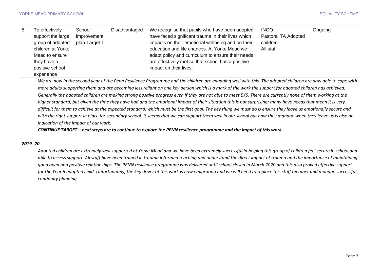| -5 | To effectively    | School        | Disadvantaged | We recognise that pupils who have been adopted     | <b>INCO</b>         | Ongoing |
|----|-------------------|---------------|---------------|----------------------------------------------------|---------------------|---------|
|    | support the large | improvement   |               | have faced significant trauma in their lives which | Pastoral TA Adopted |         |
|    | group of adopted  | plan Target 1 |               | impacts on their emotional wellbeing and on their  | children            |         |
|    | children at Yorke |               |               | education and life chances. At Yorke Mead we       | All staff           |         |
|    | Mead to ensure    |               |               | adapt policy and curriculum to ensure their needs  |                     |         |
|    | they have a       |               |               | are effectively met so that school has a positive  |                     |         |
|    | positive school   |               |               | impact on their lives.                             |                     |         |
|    | experience        |               |               |                                                    |                     |         |

We are now in the second year of the Penn Resilience Programme and the children are engaging well with this. The adopted children are now able to cope with *more adults supporting them and are becoming less reliant on one key person which is a mark of the work the support for adopted children has achieved. Generally the adopted children are making strong positive progress even if they are not able to meet EXS. There are currently none of them working at the higher standard, but given the time they have had and the emotional impact of their situation this is not surprising; many have needs that mean it is very difficult for them to achieve at the expected standard, which must be the first goal. The key thing we must do is ensure they leave us emotionally secure and with the right support in place for secondary school. It seems that we can support them well in our school but how they manage when they leave us is also an indication of the impact of our work.* 

*CONTINUE TARGET – next steps are to continue to explore the PENN resilience programme and the impact of this work.* 

#### *2019 -20*

*Adopted children are extremely well supported at Yorke Mead and we have been extremely successful in helping this group of children feel secure in school and able to access support. All staff have been trained in trauma informed teaching and understand the direct impact of trauma and the importance of maintaining good open and positive relationships. The PENN resilience programme was delivered until school closed in March 2020 and this also proved effective support for the Year 6 adopted child. Unfortunately, the key driver of this work is now emigrating and we will need to replace this staff member and manage successful continuity planning.*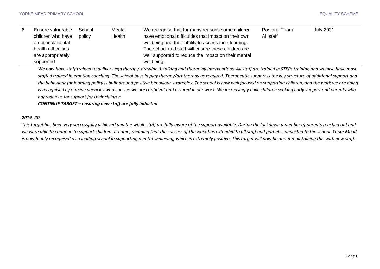*We now have staff trained to deliver Lego therapy, drawing & talking and theraplay interventions. All staff are trained in STEPs training and we also have most staffed trained in emotion coaching. The school buys in play therapy/art therapy as required. Therapeutic support is the key structure of additional support and the behaviour for learning policy is built around positive behaviour strategies. The school is now well focused on supporting children, and the work we are doing is recognised by outside agencies who can see we are confident and assured in our work. We increasingly have children seeking early support and parents who approach us for support for their children.* 

*CONTINUE TARGET – ensuring new staff are fully inducted*

#### *2019 -20*

*This target has been very successfully achieved and the whole staff are fully aware of the support available. During the lockdown a number of parents reached out and we were able to continue to support children at home, meaning that the success of the work has extended to all staff and parents connected to the school. Yorke Mead*  is now highly recognised as a leading school in supporting mental wellbeing, which is extremely positive. This target will now be about maintaining this with new staff.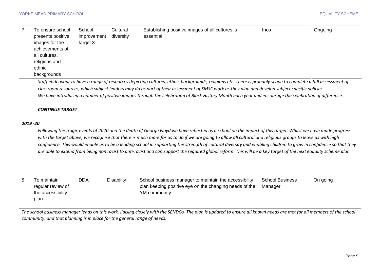| To ensure school<br>presents positive<br>images for the<br>achievements of<br>all cultures,<br>religions and<br>ethnic<br>backgrounds                         | School<br>improvement<br>target 3 | Cultural<br>diversity | essential. | Establishing positive images of all cultures is |  | <b>Inco</b> | Ongoing |  |
|---------------------------------------------------------------------------------------------------------------------------------------------------------------|-----------------------------------|-----------------------|------------|-------------------------------------------------|--|-------------|---------|--|
| Staff andoqueur to have a range of resources depicting sultures, ethnic backgrounds, religions ats. There is probably scene to complete a full assoccement of |                                   |                       |            |                                                 |  |             |         |  |

*Staff endeavour to have a range of resources depicting cultures, ethnic backgrounds, religions etc. There is probably scope to complete a full assessment of classroom resources, which subject leaders may do as part of their assessment of SMSC work as they plan and develop subject specific policies. We have introduced a number of positive images through the celebration of Black History Month each year and encourage the celebration of difference.*

#### *CONTINUE TARGET*

#### *2019 -20*

*Following the tragic events of 2020 and the death of George Floyd we have reflected as a school on the impact of this target. Whilst we have made progress with the target above, we recognise that there is much more for us to do if we are going to allow all cultural and religious groups to leave us with high confidence. This would enable us to be a leading school in supporting the strength of cultural diversity and enabling children to grow in confidence so that they* are able to extend from being non racist to anti-racist and can support the required global reform. This will be a key target of the next equality scheme plan.

| To maintain l     | <b>DDA</b> | Disability | School business manager to maintain the accessibility  | <b>School Business</b> | On going |
|-------------------|------------|------------|--------------------------------------------------------|------------------------|----------|
| regular review of |            |            | plan keeping positive eye on the changing needs of the | Manager                |          |
| the accessibility |            |            | YM community.                                          |                        |          |
| plan              |            |            |                                                        |                        |          |

*The school business manager leads on this work, liaising closely with the SENDCo. The plan is updated to ensure all known needs are met for all members of the school community, and that planning is in place for the general range of needs.*